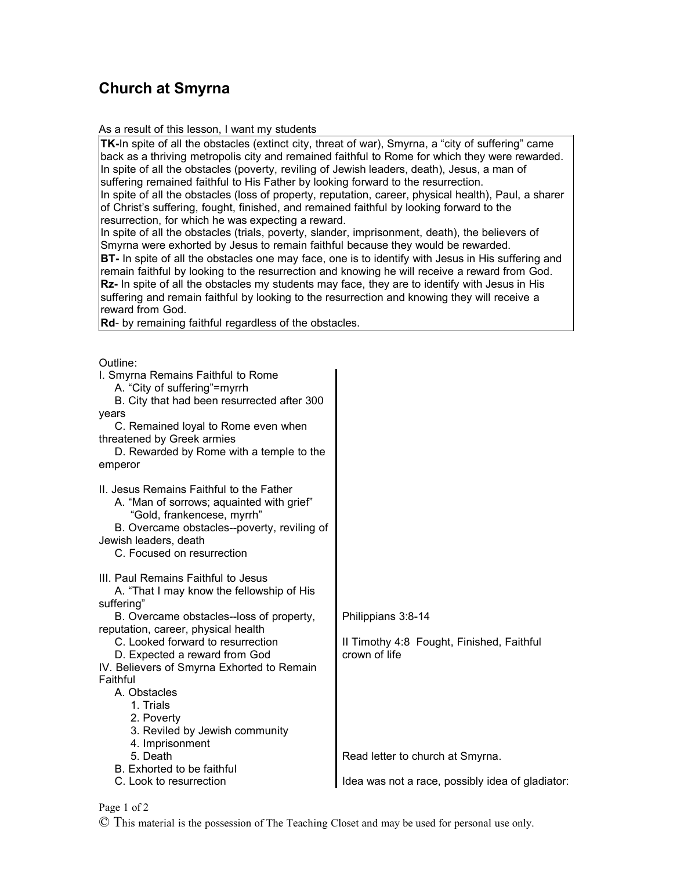## **Church at Smyrna**

As a result of this lesson, I want my students

**TK-**In spite of all the obstacles (extinct city, threat of war), Smyrna, a "city of suffering" came back as a thriving metropolis city and remained faithful to Rome for which they were rewarded. In spite of all the obstacles (poverty, reviling of Jewish leaders, death), Jesus, a man of suffering remained faithful to His Father by looking forward to the resurrection. In spite of all the obstacles (loss of property, reputation, career, physical health), Paul, a sharer

of Christ's suffering, fought, finished, and remained faithful by looking forward to the resurrection, for which he was expecting a reward.

In spite of all the obstacles (trials, poverty, slander, imprisonment, death), the believers of Smyrna were exhorted by Jesus to remain faithful because they would be rewarded. **BT-** In spite of all the obstacles one may face, one is to identify with Jesus in His suffering and remain faithful by looking to the resurrection and knowing he will receive a reward from God. **Rz-** In spite of all the obstacles my students may face, they are to identify with Jesus in His suffering and remain faithful by looking to the resurrection and knowing they will receive a reward from God.

**Rd**- by remaining faithful regardless of the obstacles.

 $O$ utline:

| Philippians 3:8-14                               |
|--------------------------------------------------|
|                                                  |
| Il Timothy 4:8 Fought, Finished, Faithful        |
| crown of life                                    |
|                                                  |
|                                                  |
|                                                  |
|                                                  |
|                                                  |
|                                                  |
|                                                  |
| Read letter to church at Smyrna.                 |
|                                                  |
|                                                  |
| Idea was not a race, possibly idea of gladiator: |
|                                                  |

Page 1 of 2

© This material is the possession of The Teaching Closet and may be used for personal use only.